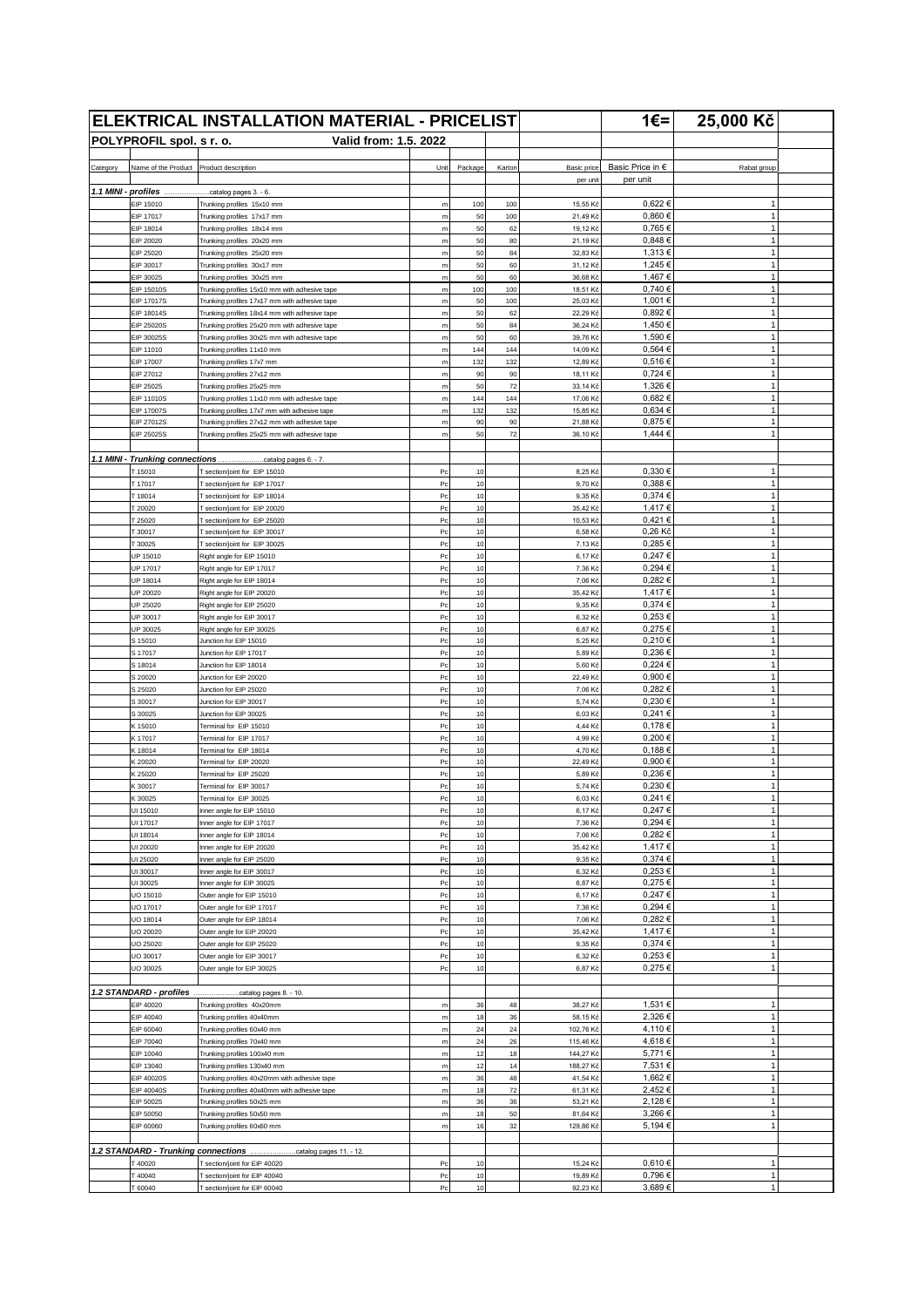|                     |                                         | <b>ELEKTRICAL INSTALLATION MATERIAL - PRICELIST</b>                                            |                                    |           |           |                         | 1€= $ $                      | 25,000 Kč                    |  |
|---------------------|-----------------------------------------|------------------------------------------------------------------------------------------------|------------------------------------|-----------|-----------|-------------------------|------------------------------|------------------------------|--|
|                     | POLYPROFIL spol. s r. o.                | Valid from: 1.5. 2022                                                                          |                                    |           |           |                         |                              |                              |  |
|                     |                                         |                                                                                                |                                    |           |           |                         |                              |                              |  |
| Category            | Name of the Product Product description |                                                                                                | Unit                               | Package   | Kartor    | Basic price<br>per unit | Basic Price in €<br>per unit | Rabat group                  |  |
| 1.1 MINI - profiles |                                         | catalog pages 3. - 6.                                                                          |                                    |           |           |                         |                              |                              |  |
|                     | EIP 15010                               | Trunking profiles 15x10 mm                                                                     | m                                  | 100       | 100       | 15,55 Kč                | 0,622€                       | 1                            |  |
|                     | EIP 17017                               | Trunking profiles 17x17 mm                                                                     | m                                  | 50        | 100       | 21,49 Kč                | 0,860€                       | $\mathbf{1}$                 |  |
|                     | EIP 18014<br>EIP 20020                  | Trunking profiles 18x14 mm<br>Trunking profiles 20x20 mm                                       | m<br>${\sf m}$                     | 50<br>50  | 62<br>80  | 19,12 Kč<br>21,19 Kč    | 0,765€<br>0,848€             | $\mathbf{1}$<br>$\mathbf{1}$ |  |
|                     | EIP 25020                               | Trunking profiles 25x20 mm                                                                     | m                                  | 50        | 84        | 32,83 Kč                | 1,313€                       | $\mathbf{1}$                 |  |
|                     | EIP 30017                               | Trunking profiles 30x17 mm                                                                     | ${\sf m}$                          | 50        | 60        | 31,12 Kč                | 1,245 €                      | $\mathbf{1}$                 |  |
|                     | EIP 30025<br>EIP 15010S                 | Trunking profiles 30x25 mm<br>Trunking profiles 15x10 mm with adhesive tape                    | m<br>m                             | 50<br>100 | 60<br>100 | 36,68 Kč<br>18,51 Kč    | 1,467€<br>0,740 €            | $\mathbf{1}$<br>$\mathbf{1}$ |  |
|                     | <b>EIP 17017S</b>                       | Trunking profiles 17x17 mm with adhesive tape                                                  | ${\sf m}$                          | 50        | 100       | 25,03 Kč                | 1,001€                       | $\mathbf{1}$                 |  |
|                     | EIP 18014S                              | Trunking profiles 18x14 mm with adhesive tape                                                  | ${\sf m}$                          | 50        | 62        | 22,29 Kč                | 0,892€                       | $\mathbf{1}$                 |  |
|                     | EIP 25020S<br>EIP 30025S                | Trunking profiles 25x20 mm with adhesive tape<br>Trunking profiles 30x25 mm with adhesive tape | ${\sf m}$<br>m                     | 50<br>50  | 84<br>60  | 36,24 Kč<br>39,76 Kč    | 1,450 €<br>1,590€            | 1<br>$\mathbf{1}$            |  |
|                     | EIP 11010                               | Trunking profiles 11x10 mm                                                                     | m                                  | 144       | 144       | 14,09 Kč                | 0,564€                       | $\mathbf{1}$                 |  |
|                     | EIP 17007                               | Trunking profiles 17x7 mm                                                                      | ${\sf m}$                          | 132       | 132       | 12,89 Kč                | 0,516€                       | $\mathbf{1}$                 |  |
|                     | EIP 27012                               | Trunking profiles 27x12 mm                                                                     | m                                  | 90<br>50  | 90<br>72  | 18,11 Kč                | 0,724€<br>1,326 €            | $\mathbf{1}$<br>$\mathbf{1}$ |  |
|                     | EIP 25025<br>EIP 11010S                 | Trunking profiles 25x25 mm<br>Trunking profiles 11x10 mm with adhesive tape                    | ${\sf m}$<br>m                     | 144       | 144       | 33,14 Kč<br>17,06 Kč    | 0,682€                       | $\mathbf{1}$                 |  |
|                     | <b>EIP 17007S</b>                       | Trunking profiles 17x7 mm with adhesive tape                                                   | m                                  | 132       | 132       | 15,85 Ki                | 0,634 €                      | $\mathbf{1}$                 |  |
|                     | EIP 27012S                              | Trunking profiles 27x12 mm with adhesive tape                                                  | m                                  | 90        | 90        | 21,88 Kč                | 0,875€                       | $\mathbf{1}$                 |  |
|                     | EIP 25025S                              | Trunking profiles 25x25 mm with adhesive tape                                                  | m                                  | 50        | 72        | 36,10 Kč                | 1,444 €                      | $\mathbf{1}$                 |  |
|                     | 1.1 MINI - Trunking connections         | catalog pages 6. - 7.                                                                          |                                    |           |           |                         |                              |                              |  |
|                     | T 15010                                 | T section/joint for EIP 15010                                                                  | Pc                                 | 10        |           | 8,25 Kč                 | 0,330 €                      | $\mathbf{1}$                 |  |
|                     | T17017                                  | T section/joint for EIP 17017                                                                  | Pc                                 | 10        |           | 9,70 Kč                 | 0,388€                       | 1                            |  |
|                     | T18014<br>T 20020                       | T section/joint for EIP 18014<br>T section/joint for EIP 20020                                 | Pc<br>P <sub>C</sub>               | 10<br>10  |           | 9,35 Kč<br>35,42 Kč     | 0,374€<br>1,417€             | $\mathbf{1}$<br>$\mathbf{1}$ |  |
|                     | T 25020                                 | T section/joint for EIP 25020                                                                  | P <sub>C</sub>                     | 10        |           | 10,53 Kč                | 0,421€                       | $\mathbf{1}$                 |  |
|                     | T 30017                                 | T section/joint for EIP 30017                                                                  | Pc                                 | 10        |           | 6,58 Kč                 | 0,26 Kč                      | $\mathbf{1}$                 |  |
|                     | T 30025                                 | T section/joint for EIP 30025                                                                  | Pc                                 | 10        |           | 7,13 Kč                 | 0,285€                       | $\mathbf{1}$                 |  |
|                     | UP 15010<br>UP 17017                    | Right angle for EIP 15010<br>Right angle for EIP 17017                                         | P <sub>C</sub><br>P <sub>C</sub>   | 10<br>10  |           | 6,17 Kč<br>7,36 Kč      | 0,247€<br>0,294€             | $\mathbf{1}$<br>$\mathbf{1}$ |  |
|                     | UP 18014                                | Right angle for EIP 18014                                                                      | P <sub>C</sub>                     | 10        |           | 7,06 Kč                 | 0,282€                       | $\mathbf{1}$                 |  |
|                     | UP 20020                                | Right angle for EIP 20020                                                                      | Pc                                 | 10        |           | 35,42 Kč                | 1,417€                       | $\mathbf{1}$                 |  |
|                     | UP 25020                                | Right angle for EIP 25020                                                                      | P <sub>C</sub><br>Pc               | 10<br>10  |           | 9,35 Kč<br>6,32 Kč      | 0,374 €<br>0,253€            | $\mathbf{1}$<br>$\mathbf{1}$ |  |
|                     | UP 30017<br>UP 30025                    | Right angle for EIP 30017<br>Right angle for EIP 30025                                         | P <sub>C</sub>                     | 10        |           | 6,87 Kč                 | 0,275€                       | $\mathbf{1}$                 |  |
|                     | S 15010                                 | Junction for EIP 15010                                                                         | P <sub>C</sub>                     | 10        |           | 5,25 Kč                 | 0,210€                       | $\mathbf{1}$                 |  |
|                     | S 17017                                 | Junction for EIP 17017                                                                         | Pc                                 | 10        |           | 5,89 Kč                 | 0,236€                       | $\mathbf{1}$                 |  |
|                     | S 18014<br>S 20020                      | Junction for EIP 18014<br>Junction for EIP 20020                                               | $_{\rm{Pc}}$<br>Pc                 | 10<br>10  |           | 5,60 Ki<br>22,49 Kč     | 0,224 €<br>0,900€            | $\mathbf{1}$<br>$\mathbf{1}$ |  |
|                     | S 25020                                 | Junction for EIP 25020                                                                         | P <sub>C</sub>                     | 10        |           | 7,06 Ki                 | 0,282€                       | $\mathbf{1}$                 |  |
|                     | S 30017                                 | Junction for EIP 30017                                                                         | P <sub>C</sub>                     | 10        |           | 5,74 Kč                 | 0,230€                       | $\mathbf{1}$                 |  |
|                     | S 30025                                 | Junction for EIP 30025                                                                         | Pc                                 | 10        |           | 6,03 Kč                 | 0,241€                       | $\mathbf{1}$                 |  |
|                     | K 15010<br>K 17017                      | Terminal for EIP 15010<br>Terminal for EIP 17017                                               | Pc<br>Pc                           | 10<br>10  |           | 4,44 Kč<br>4,99 Kč      | 0,178€<br>0,200€             | 1<br>$\mathbf{1}$            |  |
|                     | K 18014                                 | Terminal for EIP 18014                                                                         | P <sub>C</sub>                     | 10        |           | 4,70 Kč                 | 0,188€                       | $\mathbf{1}$                 |  |
|                     | K 20020                                 | Terminal for EIP 20020                                                                         | P <sub>C</sub>                     | 10        |           | 22,49 Kč                | 0,900€                       | 1                            |  |
|                     | K 25020<br>K 30017                      | Terminal for EIP 25020                                                                         | Pc<br>Pc                           | 10<br>10  |           | 5,89 Ki                 | 0,236€<br>0,230 €            | $\mathbf{1}$<br>$\mathbf{1}$ |  |
|                     | K 30025                                 | Terminal for EIP 30017<br>Terminal for EIP 30025                                               | P <sub>C</sub>                     | 10        |           | 5,74 Kč<br>6,03 Kč      | 0,241€                       | $\mathbf{1}$                 |  |
|                     | UI 15010                                | Inner angle for EIP 15010                                                                      | $_{\mathsf{Pc}}$                   | $10$      |           | 6,17 Kč                 | 0,247€                       | $\mathbf{1}$                 |  |
|                     | UI 17017                                | Inner angle for EIP 17017                                                                      | $_{\mathsf{PC}}$                   | 10        |           | 7,36 Kč                 | 0,294 €                      | $\mathbf{1}$                 |  |
|                     | UI 18014<br>UI 20020                    | Inner angle for EIP 18014<br>Inner angle for EIP 20020                                         | P <sub>C</sub><br>$_{\rm{Pc}}$     | 10<br>10  |           | 7,06 Kč<br>35,42 Kč     | 0,282€<br>1,417€             | $\mathbf{1}$<br>1            |  |
|                     | UI 25020                                | Inner angle for EIP 25020                                                                      | P <sub>C</sub>                     | 10        |           | 9,35 Kč                 | 0,374€                       | $\mathbf{1}$                 |  |
|                     | UI 30017                                | Inner angle for EIP 30017                                                                      | $_{\mathsf{Pc}}$                   | 10        |           | 6,32 Kč                 | $0,253 \in$                  | $\mathbf{1}$                 |  |
|                     | UI 30025                                | Inner angle for EIP 30025                                                                      | P <sub>C</sub>                     | 10        |           | 6,87 Kč                 | 0,275€                       | $\mathbf{1}$<br>1            |  |
|                     | UO 15010<br>UO 17017                    | Outer angle for EIP 15010<br>Outer angle for EIP 17017                                         | P <sub>C</sub><br>$_{\mathsf{PC}}$ | 10<br>10  |           | 6,17 Kč<br>7,36 Kč      | 0,247€<br>0,294 €            | $\mathbf{1}$                 |  |
|                     | UO 18014                                | Outer angle for EIP 18014                                                                      | $_{\rm{Pc}}$                       | 10        |           | 7,06 Kč                 | 0,282€                       | $\mathbf{1}$                 |  |
|                     | UO 20020                                | Outer angle for EIP 20020                                                                      | $_{\mathsf{Pc}}$                   | 10        |           | 35,42 Kč                | 1,417 €                      | $\mathbf{1}$                 |  |
|                     | UO 25020<br>UO 30017                    | Outer angle for EIP 25020<br>Outer angle for EIP 30017                                         | P <sub>C</sub><br>Pc               | 10<br>10  |           | 9,35 Kč<br>6,32 Kč      | 0,374€<br>$0,253 \in$        | $\mathbf{1}$<br>1            |  |
|                     | UO 30025                                | Outer angle for EIP 30025                                                                      | P <sub>C</sub>                     | 10        |           | 6,87 Kč                 | 0,275€                       | 1                            |  |
|                     |                                         |                                                                                                |                                    |           |           |                         |                              |                              |  |
|                     | 1.2 STANDARD - profiles                 | catalog pages 8. - 10.                                                                         |                                    |           |           |                         |                              |                              |  |
|                     | EIP 40020<br>EIP 40040                  | Trunking profiles 40x20mm<br>Trunking profiles 40x40mm                                         | m<br>m                             | 36<br>18  | 48<br>36  | 38,27 Kč<br>58,15 Kč    | 1,531 €<br>2,326€            | 1<br>$\mathbf{1}$            |  |
|                     | EIP 60040                               | Trunking profiles 60x40 mm                                                                     | $\mathsf m$                        | 24        | 24        | 102,76 Kč               | 4,110€                       | $\mathbf{1}$                 |  |
|                     | EIP 70040                               | Trunking profiles 70x40 mm                                                                     | ${\sf m}$                          | 24        | 26        | 115,46 Kč               | 4,618€                       | $\mathbf{1}$                 |  |
|                     | EIP 10040                               | Trunking profiles 100x40 mm                                                                    | m                                  | 12        | 18        | 144,27 Kč               | 5,771€                       | $\mathbf{1}$                 |  |
|                     | EIP 13040<br>EIP 40020S                 | Trunking profiles 130x40 mm<br>Trunking profiles 40x20mm with adhesive tape                    | ${\sf m}$<br>m                     | 12<br>36  | 14<br>48  | 188,27 Kč<br>41,54 Kč   | 7,531 €<br>1,662€            | $\mathbf{1}$<br>$\mathbf{1}$ |  |
|                     | EIP 40040S                              | Trunking profiles 40x40mm with adhesive tape                                                   | $\mathsf m$                        | 18        | 72        | 61,31 Kč                | 2,452€                       | $\mathbf{1}$                 |  |
|                     | EIP 50025                               | Trunking profiles 50x25 mm                                                                     | m                                  | 36        | 36        | 53,21 Kč                | 2,128€                       | $\mathbf{1}$                 |  |
|                     | EIP 50050<br>EIP 60060                  | Trunking profiles 50x50 mm                                                                     | ${\sf m}$                          | 18<br>16  | 50<br>32  | 81,64 Kč<br>129,86 Kč   | 3,266€<br>5,194€             | $\mathbf{1}$<br>1            |  |
|                     |                                         | Trunking profiles 60x60 mm                                                                     | m                                  |           |           |                         |                              |                              |  |
|                     |                                         | 1.2 STANDARD - Trunking connections catalog pages 11. - 12.                                    |                                    |           |           |                         |                              |                              |  |
|                     | T40020                                  | T section/joint for EIP 40020                                                                  | $_{\rm{Pc}}$                       | 10        |           | 15,24 Kč                | 0,610€                       | 1                            |  |
|                     | T40040<br>T 60040                       | T section/joint for EIP 40040<br>T section/joint for EIP 60040                                 | $_{\rm{Pc}}$<br>P <sub>C</sub>     | 10<br>10  |           | 19,89 Kč<br>92,23 Kč    | 0,796€<br>3,689€             | $\mathbf{1}$<br>$\mathbf{1}$ |  |
|                     |                                         |                                                                                                |                                    |           |           |                         |                              |                              |  |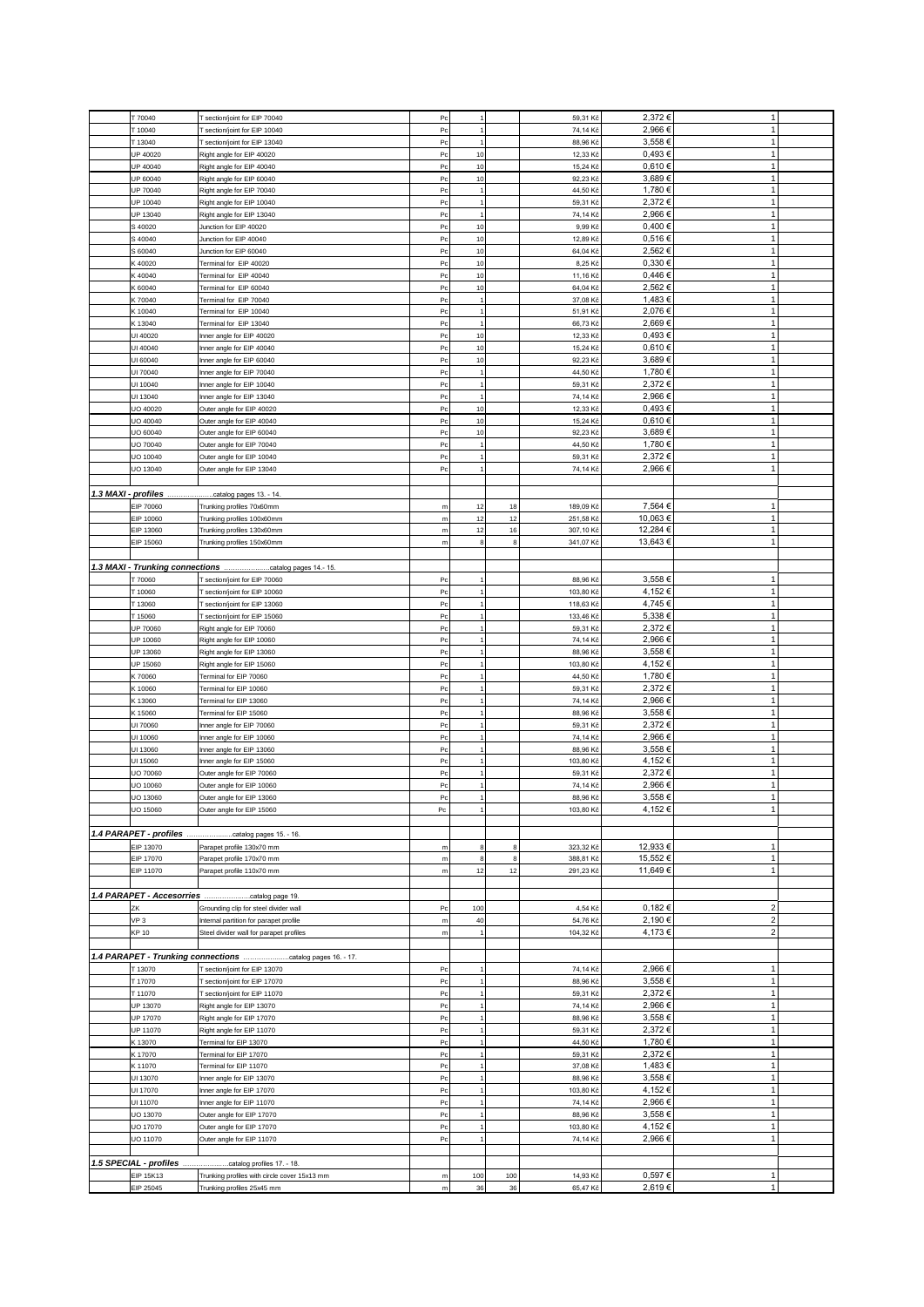|                     | T 70040                            | T section/joint for EIP 70040                         | P <sub>C</sub>   | $\mathbf{1}$   |     | 59,31 Kč  | 2,372€   | $\mathbf{1}$            |  |
|---------------------|------------------------------------|-------------------------------------------------------|------------------|----------------|-----|-----------|----------|-------------------------|--|
|                     |                                    |                                                       |                  |                |     |           |          |                         |  |
|                     | T 10040                            | T section/joint for EIP 10040                         | Pc               | $\overline{1}$ |     | 74,14 Kč  | 2,966€   | $\mathbf{1}$            |  |
|                     | T 13040                            | T section/joint for EIP 13040                         | P <sub>C</sub>   | $\mathbf{1}$   |     | 88,96 Kč  | 3,558€   | $\mathbf{1}$            |  |
|                     | UP 40020                           | Right angle for EIP 40020                             | Pc               | 10             |     | 12,33 Kč  | 0,493€   | $\mathbf{1}$            |  |
|                     | UP 40040                           | Right angle for EIP 40040                             | Pc               | 10             |     | 15,24 Kč  | 0,610€   | $\mathbf{1}$            |  |
|                     | UP 60040                           | Right angle for EIP 60040                             | P <sub>C</sub>   | 10             |     | 92,23 Kč  | 3,689€   | $\mathbf{1}$            |  |
|                     | UP 70040                           | Right angle for EIP 70040                             | P <sub>C</sub>   | $\overline{1}$ |     | 44,50 Kč  | 1,780 €  | $\mathbf{1}$            |  |
|                     | UP 10040                           | Right angle for EIP 10040                             | Pc               | $\overline{1}$ |     | 59,31 Kč  | 2,372€   | $\mathbf{1}$            |  |
|                     | UP 13040                           | Right angle for EIP 13040                             | Pc               | 1              |     | 74,14 Kč  | 2,966€   | $\mathbf{1}$            |  |
|                     |                                    |                                                       |                  |                |     |           |          |                         |  |
|                     | S 40020                            | Junction for EIP 40020                                | P <sub>C</sub>   | 10             |     | 9,99 Kč   | 0,400€   | $\mathbf{1}$            |  |
|                     | S 40040                            | Junction for EIP 40040                                | P <sub>C</sub>   | 10             |     | 12,89 Kč  | 0,516€   | $\mathbf{1}$            |  |
|                     | S 60040                            | Junction for EIP 60040                                | P <sub>C</sub>   | 10             |     | 64,04 Kč  | 2,562€   | $\mathbf{1}$            |  |
|                     | K 40020                            | Terminal for EIP 40020                                | Pc               | 10             |     | 8,25 Kč   | 0,330€   | $\mathbf{1}$            |  |
|                     | K40040                             | Terminal for EIP 40040                                | Pc               | 10             |     | 11,16 Kč  | 0,446€   | $\mathbf{1}$            |  |
|                     | K 60040                            | Terminal for EIP 60040                                | Pc               | 10             |     | 64,04 Kč  | 2,562€   | $\mathbf{1}$            |  |
|                     | K 70040                            | Terminal for EIP 70040                                | P <sub>C</sub>   | $\mathbf{1}$   |     | 37,08 Kč  | 1,483€   | $\mathbf{1}$            |  |
|                     |                                    |                                                       |                  |                |     |           |          | $\mathbf{1}$            |  |
|                     | K 10040                            | Terminal for EIP 10040                                | P <sub>C</sub>   | $\mathbf{1}$   |     | 51,91 Kč  | 2,076€   |                         |  |
|                     | K 13040                            | Terminal for EIP 13040                                | Pc               | $\overline{1}$ |     | 66,73 Kč  | 2,669€   | 1                       |  |
|                     | UI 40020                           | Inner angle for EIP 40020                             | P <sub>C</sub>   | 10             |     | 12,33 Kč  | 0,493€   | $\mathbf{1}$            |  |
|                     | UI 40040                           | Inner angle for EIP 40040                             | Pc               | 10             |     | 15,24 Kč  | 0,610€   | $\mathbf{1}$            |  |
|                     | UI 60040                           | Inner angle for EIP 60040                             | Pc               | 10             |     | 92,23 Kč  | 3,689€   | $\mathbf{1}$            |  |
|                     | UI 70040                           | Inner angle for EIP 70040                             | Pc               |                |     | 44,50 Kč  | 1,780 €  | $\mathbf{1}$            |  |
|                     | UI 10040                           | Inner angle for EIP 10040                             | Pc               | $\mathbf 1$    |     | 59,31 Kč  | 2,372€   | $\mathbf{1}$            |  |
|                     |                                    |                                                       |                  |                |     |           |          |                         |  |
|                     | UI 13040                           | Inner angle for EIP 13040                             | P <sub>C</sub>   | $\overline{1}$ |     | 74,14 Kč  | 2,966€   | $\mathbf{1}$            |  |
|                     | UO 40020                           | Outer angle for EIP 40020                             | Pc               | 10             |     | 12,33 Kč  | 0,493€   | $\mathbf{1}$            |  |
|                     | UO 40040                           | Outer angle for EIP 40040                             | P <sub>C</sub>   | 10             |     | 15,24 Kč  | 0,610€   | $\mathbf{1}$            |  |
|                     | UO 60040                           | Outer angle for EIP 60040                             | Pc               | 10             |     | 92,23 Kč  | 3,689€   | $\overline{1}$          |  |
|                     | UO 70040                           | Outer angle for EIP 70040                             | Pc               | $\overline{1}$ |     | 44,50 Kč  | 1,780 €  | 1                       |  |
|                     | UO 10040                           | Outer angle for EIP 10040                             | Pc               | 1              |     | 59,31 Kč  | 2,372€   | $\mathbf{1}$            |  |
|                     | UO 13040                           |                                                       | Pc               | $\mathbf{1}$   |     | 74,14 Kč  | 2,966€   | $\mathbf{1}$            |  |
|                     |                                    | Outer angle for EIP 13040                             |                  |                |     |           |          |                         |  |
|                     |                                    |                                                       |                  |                |     |           |          |                         |  |
| 1.3 MAXI - profiles |                                    | .catalog pages 13. - 14.                              |                  |                |     |           |          |                         |  |
|                     | EIP 70060                          | Trunking profiles 70x60mm                             | m                | 12             | 18  | 189,09 Kč | 7,564 €  | $\mathbf{1}$            |  |
|                     | EIP 10060                          | Trunking profiles 100x60mm                            | ${\sf m}$        | 12             | 12  | 251,58 Kč | 10,063€  | $\mathbf{1}$            |  |
|                     | EIP 13060                          | Trunking profiles 130x60mm                            | m                | 12             | 16  | 307,10 Kč | 12,284 € | $\mathbf{1}$            |  |
|                     | EIP 15060                          | Trunking profiles 150x60mm                            | m                | 8              | 8   | 341,07 Kč | 13,643 € | $\mathbf{1}$            |  |
|                     |                                    |                                                       |                  |                |     |           |          |                         |  |
|                     |                                    |                                                       |                  |                |     |           |          |                         |  |
|                     |                                    | 1.3 MAXI - Trunking connections catalog pages 14.-15. |                  |                |     |           |          |                         |  |
|                     | T 70060                            | T section/joint for EIP 70060                         | Pc               | 1              |     | 88,96 Kč  | 3,558€   | 1                       |  |
|                     | T 10060                            | T section/joint for EIP 10060                         | P <sub>C</sub>   | 1              |     | 103,80 Kč | 4,152€   | $\mathbf{1}$            |  |
|                     | T 13060                            | T section/joint for EIP 13060                         | P <sub>C</sub>   |                |     | 118,63 Kč | 4,745€   | $\mathbf{1}$            |  |
|                     | T 15060                            | T section/joint for EIP 15060                         | Pc               | 1              |     | 133,46 Kč | 5,338€   | $\mathbf 1$             |  |
|                     | UP 70060                           | Right angle for EIP 70060                             | P <sub>C</sub>   | $\mathbf{1}$   |     | 59,31 Kč  | 2,372€   | $\mathbf{1}$            |  |
|                     |                                    |                                                       |                  |                |     |           |          | $\mathbf{1}$            |  |
|                     | UP 10060                           | Right angle for EIP 10060                             | Pc               | $\overline{1}$ |     | 74,14 Kč  | 2,966€   |                         |  |
|                     | UP 13060                           | Right angle for EIP 13060                             | Pc               | 1              |     | 88,96 Kč  | 3,558€   | $\mathbf{1}$            |  |
|                     | UP 15060                           | Right angle for EIP 15060                             | Pc               | $\mathbf{1}$   |     | 103,80 Kč | 4,152€   | $\mathbf{1}$            |  |
|                     | K 70060                            | Terminal for EIP 70060                                | Pc               | $\overline{1}$ |     | 44,50 Kč  | 1,780 €  | $\mathbf{1}$            |  |
|                     | K 10060                            | Terminal for EIP 10060                                | Pc               |                |     | 59,31 Kč  | 2,372€   | $\mathbf{1}$            |  |
|                     | K 13060                            | Terminal for EIP 13060                                | P <sub>C</sub>   | $\overline{1}$ |     | 74,14 Kč  | 2,966€   | $\mathbf{1}$            |  |
|                     | K 15060                            |                                                       | Pc               | 1              |     | 88,96 Kč  | 3,558€   | $\mathbf{1}$            |  |
|                     |                                    | Terminal for EIP 15060                                |                  |                |     |           |          |                         |  |
|                     | UI 70060                           | Inner angle for EIP 70060                             | P <sub>C</sub>   | 1              |     | 59,31 Kč  | 2,372€   | $\mathbf{1}$            |  |
|                     | UI 10060                           | Inner angle for EIP 10060                             | P <sub>C</sub>   | $\mathbf{1}$   |     | 74,14 Kč  | 2,966€   | $\mathbf{1}$            |  |
|                     | UI 13060                           | Inner angle for EIP 13060                             | Pc               | $\mathbf{1}$   |     | 88,96 Kč  | 3,558€   | $\mathbf{1}$            |  |
|                     | UI 15060                           | Inner angle for EIP 15060                             | Pc               |                |     | 103,80 Kč | 4,152€   | $\mathbf{1}$            |  |
|                     | UO 70060                           | Outer angle for EIP 70060                             | Pc               | -1             |     | 59,31 Kč  | 2,372€   | $\mathbf{1}$            |  |
|                     | UO 10060                           | Outer angle for EIP 10060                             | P <sub>C</sub>   | 1              |     | 74,14 Kč  | 2,966€   | $\mathbf{1}$            |  |
|                     | UO 13060                           | Outer angle for EIP 13060                             | $_{\mathsf{Pc}}$ | $\mathbf{1}$   |     | 88,96 Kč  | 3,558€   | $\mathbf{1}$            |  |
|                     |                                    |                                                       |                  |                |     |           |          |                         |  |
|                     | UO 15060                           | Outer angle for EIP 15060                             | Pc               | $\mathbf{1}$   |     | 103,80 Kč | 4,152€   | $\mathbf{1}$            |  |
|                     |                                    |                                                       |                  |                |     |           |          |                         |  |
|                     | 1.4 PARAPET - profiles             | catalog pages 15. - 16.                               |                  |                |     |           |          |                         |  |
|                     | EIP 13070                          | Parapet profile 130x70 mm                             | ${\sf m}$        | 8              | 8   | 323,32 Kč | 12,933 € | 1                       |  |
|                     | EIP 17070                          | Parapet profile 170x70 mm                             | ${\sf m}$        | 8              | 8   | 388,81 Kč | 15,552€  | $\mathbf{1}$            |  |
|                     | EIP 11070                          | Parapet profile 110x70 mm                             | m                | 12             | 12  | 291,23 Kč | 11,649€  | $\mathbf{1}$            |  |
|                     |                                    |                                                       |                  |                |     |           |          |                         |  |
|                     |                                    |                                                       |                  |                |     |           |          |                         |  |
|                     |                                    |                                                       |                  |                |     |           |          |                         |  |
|                     | ZK                                 | Grounding clip for steel divider wall                 | Pc               | 100            |     | 4,54 Kč   | 0,182€   | $\overline{2}$          |  |
|                     | VP <sub>3</sub>                    | Internal partition for parapet profile                | m                | 40             |     | 54,76 Kč  | 2,190 €  | 2 <sup>1</sup>          |  |
|                     | <b>KP 10</b>                       | Steel divider wall for parapet profiles               | ${\sf m}$        | 1              |     | 104,32 Kč | 4,173€   | $\overline{\mathbf{c}}$ |  |
|                     |                                    |                                                       |                  |                |     |           |          |                         |  |
|                     | 1.4 PARAPET - Trunking connections | catalog pages 16. - 17.                               |                  |                |     |           |          |                         |  |
|                     |                                    |                                                       |                  |                |     |           | 2,966€   | 1                       |  |
|                     | T13070                             | T section/joint for EIP 13070                         | $_{\rm{Pc}}$     | -1             |     | 74,14 Kč  |          |                         |  |
|                     | T 17070                            | T section/joint for EIP 17070                         | P <sub>C</sub>   | $\mathbf{1}$   |     | 88,96 Kč  | 3,558€   | $\mathbf{1}$            |  |
|                     | T11070                             | T section/joint for EIP 11070                         | P <sub>C</sub>   | $\mathbf{1}$   |     | 59,31 Kč  | 2,372€   | $\mathbf{1}$            |  |
|                     | UP 13070                           | Right angle for EIP 13070                             | P <sub>C</sub>   |                |     | 74,14 Kč  | 2,966€   | $\mathbf{1}$            |  |
|                     | UP 17070                           | Right angle for EIP 17070                             | Pc               | 1              |     | 88,96 Kč  | 3,558€   | $\mathbf{1}$            |  |
|                     | UP 11070                           | Right angle for EIP 11070                             | P <sub>C</sub>   | $\overline{1}$ |     | 59,31 Kč  | 2,372€   | $\mathbf{1}$            |  |
|                     | K 13070                            | Terminal for EIP 13070                                | P <sub>C</sub>   | $\mathbf{1}$   |     | 44,50 Kč  | 1,780 €  | $\mathbf{1}$            |  |
|                     |                                    |                                                       |                  |                |     |           |          |                         |  |
|                     | K 17070                            | Terminal for EIP 17070                                | P <sub>C</sub>   | $\mathbf 1$    |     | 59,31 Kč  | 2,372€   | $\mathbf{1}$            |  |
|                     | K 11070                            | Terminal for EIP 11070                                | Pc               | $\overline{1}$ |     | 37,08 Kč  | 1,483€   | $\mathbf{1}$            |  |
|                     | UI 13070                           | Inner angle for EIP 13070                             | Pc               | 1              |     | 88,96 Kč  | 3,558€   | 1                       |  |
|                     | UI 17070                           | Inner angle for EIP 17070                             | P <sub>C</sub>   | 1              |     | 103,80 Kč | 4,152€   | $\mathbf{1}$            |  |
|                     | UI 11070                           | Inner angle for EIP 11070                             | Pc               | $\mathbf{1}$   |     | 74,14 Kč  | 2,966€   | $\mathbf{1}$            |  |
|                     | UO 13070                           | Outer angle for EIP 17070                             | P <sub>C</sub>   | $\mathbf{1}$   |     | 88,96 Kč  | 3,558€   | $\mathbf{1}$            |  |
|                     | UO 17070                           | Outer angle for EIP 17070                             | Pc               |                |     | 103,80 Kč | 4,152€   | $\mathbf{1}$            |  |
|                     |                                    | Outer angle for EIP 11070                             | P <sub>C</sub>   | 1              |     |           | 2,966€   | $\mathbf{1}$            |  |
|                     | UO 11070                           |                                                       |                  |                |     | 74,14 Kč  |          |                         |  |
|                     |                                    |                                                       |                  |                |     |           |          |                         |  |
|                     | 1.5 SPECIAL - profiles             | catalog profiles 17. - 18.                            |                  |                |     |           |          |                         |  |
|                     | <b>EIP 15K13</b>                   | Trunking profiles with circle cover 15x13 mm          | ${\sf m}$        | 100            | 100 | 14,93 Kč  | 0,597€   | $\mathbf{1}$            |  |
|                     | EIP 25045                          | Trunking profiles 25x45 mm                            | m                | 36             | 36  | 65,47 Kč  | 2,619€   | 1                       |  |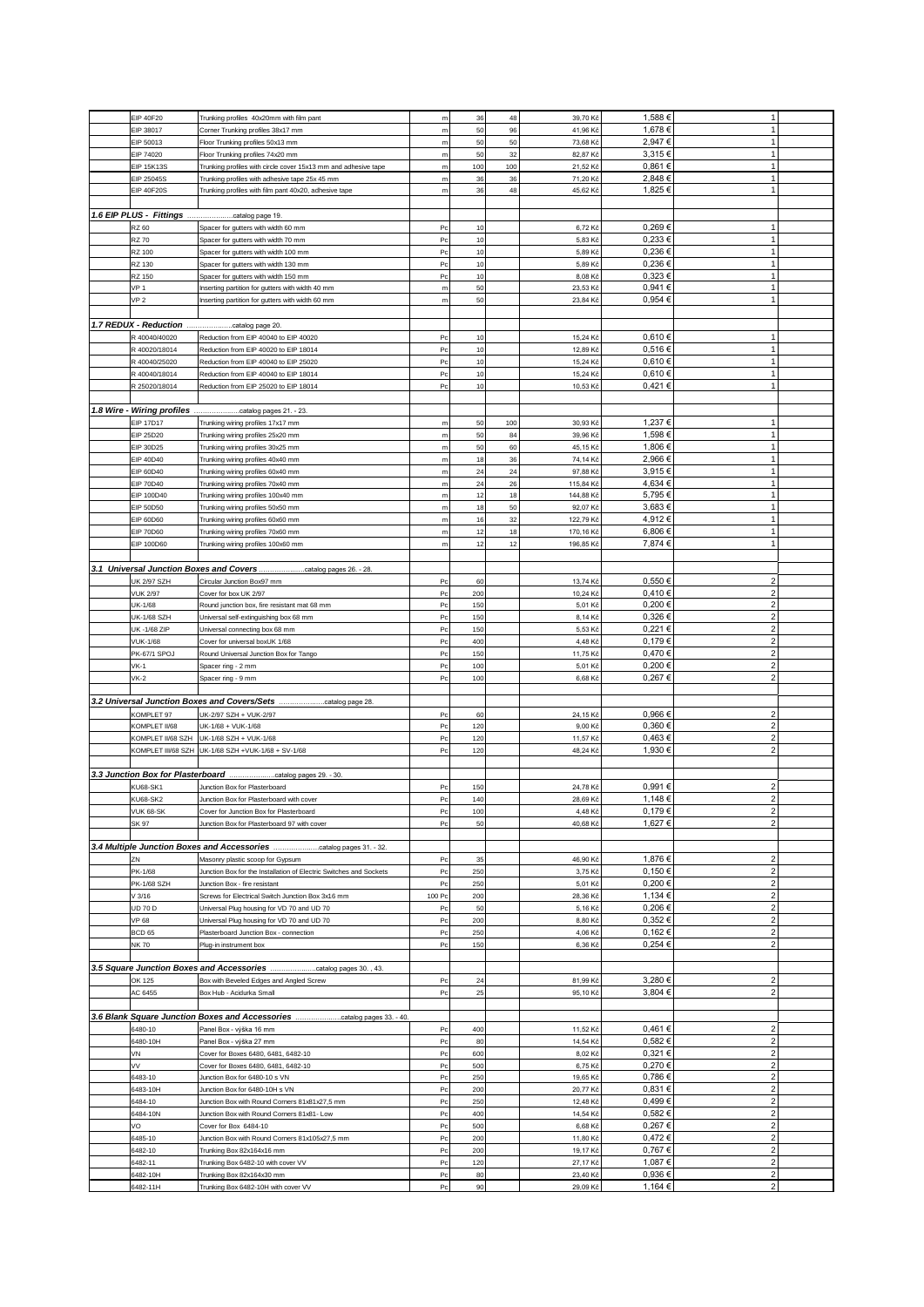|                                         |                                                                            |                  |      |     |           | 1,588€      | 1                                |  |
|-----------------------------------------|----------------------------------------------------------------------------|------------------|------|-----|-----------|-------------|----------------------------------|--|
| EIP 40F20                               | Trunking profiles 40x20mm with film pant                                   | ${\sf m}$        | 36   | 48  | 39,70 Kč  |             |                                  |  |
| EIP 38017                               | Corner Trunking profiles 38x17 mm                                          | m                | 50   | 96  | 41,96 Ki  | 1,678€      | $\mathbf{1}$                     |  |
| EIP 50013                               | Floor Trunking profiles 50x13 mm                                           | ${\sf m}$        | 50   | 50  | 73,68 Kč  | 2,947€      | $\mathbf{1}$                     |  |
| EIP 74020                               | Floor Trunking profiles 74x20 mm                                           | m                | 50   | 32  | 82,87 Kč  | 3,315€      | $\mathbf{1}$                     |  |
| <b>EIP 15K13S</b>                       | Trunking profiles with circle cover 15x13 mm and adhesive tape             | m                | 100  | 100 | 21,52 Kč  | 0,861€      | $\mathbf{1}$                     |  |
| EIP 25045S                              | Trunking profiles with adhesive tape 25x 45 mm                             | ${\sf m}$        | 36   | 36  | 71,20 Kč  | 2,848€      | $\mathbf{1}$                     |  |
| <b>EIP 40F20S</b>                       | Trunking profiles with film pant 40x20, adhesive tape                      | m                | 36   | 48  | 45,62 Kč  | 1,825€      | $\mathbf{1}$                     |  |
|                                         |                                                                            |                  |      |     |           |             |                                  |  |
|                                         |                                                                            |                  |      |     |           |             |                                  |  |
|                                         |                                                                            |                  |      |     |           |             |                                  |  |
| RZ 60                                   | Spacer for gutters with width 60 mm                                        | Pc               | 10   |     | 6,72 Ki   | 0,269€      | 1                                |  |
| <b>RZ 70</b>                            | Spacer for gutters with width 70 mm                                        | P <sub>C</sub>   | 10   |     | 5,83 Kč   | 0,233€      | 1                                |  |
| RZ 100                                  | Spacer for gutters with width 100 mm                                       | P <sub>C</sub>   | 10   |     | 5,89 Kč   | 0,236€      | $\mathbf{1}$                     |  |
| RZ 130                                  | Spacer for gutters with width 130 mm                                       | P <sub>C</sub>   | 10   |     | 5,89 Kč   | 0,236€      | $\mathbf{1}$                     |  |
| RZ 150                                  |                                                                            | $_{\rm{Pc}}$     | 10   |     | 8,08 Kč   | 0,323€      | $\mathbf{1}$                     |  |
|                                         | Spacer for gutters with width 150 mm                                       |                  |      |     |           |             |                                  |  |
| <b>VP 1</b>                             | Inserting partition for gutters with width 40 mm                           | m                | 50   |     | 23,53 Kč  | 0,941€      | $\mathbf{1}$                     |  |
| VP <sub>2</sub>                         | Inserting partition for gutters with width 60 mm                           | m                | 50   |     | 23,84 Kč  | 0,954€      | $\mathbf{1}$                     |  |
|                                         |                                                                            |                  |      |     |           |             |                                  |  |
| 1.7 REDUX - Reduction                   | catalog page 20.                                                           |                  |      |     |           |             |                                  |  |
| R 40040/40020                           | Reduction from EIP 40040 to EIP 40020                                      | Pc               | 10   |     | 15,24 Kò  | 0,610€      | 1                                |  |
|                                         |                                                                            |                  |      |     |           | 0,516€      | $\mathbf{1}$                     |  |
| R 40020/18014                           | Reduction from EIP 40020 to EIP 18014                                      | Pc               | 10   |     | 12,89 Kč  |             |                                  |  |
| R 40040/25020                           | Reduction from EIP 40040 to EIP 25020                                      | Pc               | 10   |     | 15,24 Kč  | 0,610€      | $\mathbf{1}$                     |  |
| R 40040/18014                           | Reduction from EIP 40040 to EIP 18014                                      | P <sub>C</sub>   | 10   |     | 15,24 Kč  | 0,610€      | $\mathbf{1}$                     |  |
| R 25020/18014                           | Reduction from EIP 25020 to EIP 18014                                      | Pc               | 10   |     | 10,53 Kč  | 0,421€      | 1                                |  |
|                                         |                                                                            |                  |      |     |           |             |                                  |  |
|                                         |                                                                            |                  |      |     |           |             |                                  |  |
| 1.8 Wire - Wiring profiles              | catalog pages 21. - 23.                                                    |                  |      |     |           |             |                                  |  |
| <b>EIP 17D17</b>                        | Trunking wiring profiles 17x17 mm                                          | m                | 50   | 100 | 30,93 Kč  | 1,237 €     | 1                                |  |
| EIP 25D20                               | Trunking wiring profiles 25x20 mm                                          | ${\sf m}$        | 50   | 84  | 39,96 Kč  | 1,598€      | 1                                |  |
| EIP 30D25                               | Trunking wiring profiles 30x25 mm                                          | m                | 50   | 60  | 45,15 Kč  | 1,806€      | $\mathbf{1}$                     |  |
| EIP 40D40                               | Trunking wiring profiles 40x40 mm                                          | m                | $18$ | 36  | 74,14 Kč  | 2,966€      | $\mathbf{1}$                     |  |
|                                         |                                                                            |                  |      |     |           |             |                                  |  |
| EIP 60D40                               | Trunking wiring profiles 60x40 mm                                          | m                | 24   | 24  | 97,88 Kč  | 3,915€      | 1                                |  |
| <b>EIP 70D40</b>                        | Trunking wiring profiles 70x40 mm                                          | m                | 24   | 26  | 115,84 Kč | 4,634 €     | 1                                |  |
| EIP 100D40                              | Trunking wiring profiles 100x40 mm                                         | ${\sf m}$        | 12   | 18  | 144,88 Kč | 5,795€      | $\mathbf{1}$                     |  |
| <b>EIP 50D50</b>                        | Trunking wiring profiles 50x50 mm                                          | m                | 18   | 50  | 92,07 Kč  | 3,683€      | $\mathbf{1}$                     |  |
| <b>EIP 60D60</b>                        | Trunking wiring profiles 60x60 mm                                          | m                | 16   | 32  | 122,79 Kč | 4,912€      | $\mathbf{1}$                     |  |
|                                         |                                                                            |                  |      |     |           | 6,806€      | $\mathbf{1}$                     |  |
| <b>EIP 70D60</b>                        | Trunking wiring profiles 70x60 mm                                          | m                | 12   | 18  | 170,16 Kč |             |                                  |  |
| EIP 100D60                              | Trunking wiring profiles 100x60 mm                                         | m                | 12   | 12  | 196,85 Kč | 7,874 €     | 1                                |  |
|                                         |                                                                            |                  |      |     |           |             |                                  |  |
| 3.1 Universal Junction Boxes and Covers | catalog pages 26. - 28                                                     |                  |      |     |           |             |                                  |  |
| <b>UK 2/97 SZH</b>                      | Circular Junction Box97 mm                                                 | Pc               | 60   |     | 13,74 Kč  | $0,550 \in$ | $\overline{\mathbf{c}}$          |  |
|                                         |                                                                            |                  |      |     |           |             |                                  |  |
| <b>VUK 2/97</b>                         | Cover for box UK 2/97                                                      | P <sub>C</sub>   | 200  |     | 10,24 Kč  | 0,410€      | $\overline{2}$                   |  |
| <b>UK-1/68</b>                          | Round junction box, fire resistant mat 68 mm                               | Pc               | 150  |     | 5,01 Kč   | 0,200€      | $\overline{2}$                   |  |
| UK-1/68 SZH                             | Universal self-extinguishing box 68 mm                                     | $_{\mathsf{Pc}}$ | 150  |     | 8,14 Kò   | 0,326€      | $\mathbf{2}$                     |  |
| UK -1/68 ZIP                            | Universal connecting box 68 mm                                             | P <sub>C</sub>   | 150  |     | 5,53 Kč   | 0,221€      | $\overline{\mathbf{c}}$          |  |
| <b>VUK-1/68</b>                         | Cover for universal boxUK 1/68                                             | Pc               | 400  |     | 4,48 Kč   | 0,179€      | $\overline{\mathbf{c}}$          |  |
|                                         |                                                                            |                  |      |     |           |             |                                  |  |
| PK-67/1 SPOJ                            | Round Universal Junction Box for Tango                                     | $_{\rm{Pc}}$     | 150  |     | 11,75 Kč  | 0,470 €     | $\overline{2}$                   |  |
| $VK-1$                                  | Spacer ring - 2 mm                                                         | P <sub>C</sub>   | 100  |     | 5,01 Kč   | 0,200€      | $\overline{2}$                   |  |
| $VK-2$                                  |                                                                            |                  |      |     |           |             | $\overline{2}$                   |  |
|                                         | Spacer ring - 9 mm                                                         | P <sub>C</sub>   | 100  |     | 6,68 Kč   | 0,267€      |                                  |  |
|                                         |                                                                            |                  |      |     |           |             |                                  |  |
|                                         |                                                                            |                  |      |     |           |             |                                  |  |
|                                         |                                                                            |                  |      |     |           |             |                                  |  |
| KOMPLET 97                              | UK-2/97 SZH + VUK-2/97                                                     | Pc               | 60   |     | 24,15 Kč  | $0,966 \in$ | $\overline{2}$                   |  |
| KOMPLET II/68                           | UK-1/68 + VUK-1/68                                                         | P <sub>C</sub>   | 120  |     | 9,00 Kč   | 0,360€      | $\overline{2}$                   |  |
| KOMPLET II/68 SZH                       | UK-1/68 SZH + VUK-1/68                                                     | P <sub>C</sub>   | 120  |     | 11,57 Kč  | 0,463€      | $\mathbf{2}$                     |  |
|                                         | KOMPLET III/68 SZH UK-1/68 SZH +VUK-1/68 + SV-1/68                         | $_{\rm{Pc}}$     | 120  |     | 48,24 Kč  | 1,930 €     | $\overline{2}$                   |  |
|                                         |                                                                            |                  |      |     |           |             |                                  |  |
|                                         |                                                                            |                  |      |     |           |             |                                  |  |
| 3.3 Junction Box for Plasterboard       | catalog pages 29. - 30.                                                    |                  |      |     |           |             |                                  |  |
| <b>KU68-SK1</b>                         | Junction Box for Plasterboard                                              | P <sub>C</sub>   | 150  |     | 24,78 Kč  | 0,991€      | $\overline{2}$                   |  |
| <b>KU68-SK2</b>                         | Junction Box for Plasterboard with cover                                   | $_{\mathsf{PC}}$ | 140  |     | 28,69 Kč  | 1,148€      | 2 <sup>1</sup>                   |  |
| <b>VUK 68-SK</b>                        | Cover for Junction Box for Plasterboard                                    | $_{\rm{Pc}}$     | 100  |     | 4,48 Kč   | 0,179€      | $\overline{\mathbf{c}}$          |  |
|                                         |                                                                            | Pc               |      |     |           |             | $\overline{2}$                   |  |
| SK 97                                   | Junction Box for Plasterboard 97 with cover                                |                  | 50   |     | 40,68 Kč  | 1,627€      |                                  |  |
|                                         |                                                                            |                  |      |     |           |             |                                  |  |
|                                         | 3.4 Multiple Junction Boxes and Accessories catalog pages 31. - 32.        |                  |      |     |           |             |                                  |  |
| ZN                                      | Masonry plastic scoop for Gypsum                                           | $_{\mathsf{Pc}}$ | 35   |     | 46,90 Kč  | 1,876€      | $\overline{\mathbf{c}}$          |  |
| PK-1/68                                 | Junction Box for the Installation of Electric Switches and Sockets         | P <sub>C</sub>   | 250  |     | 3,75 Kč   | 0,150€      | $\overline{2}$                   |  |
| PK-1/68 SZH                             | Junction Box - fire resistant                                              | P <sub>C</sub>   | 250  |     | 5,01 Kč   | 0,200€      | $\overline{2}$                   |  |
| V3/16                                   | Screws for Electrical Switch Junction Box 3x16 mm                          | 100 Pc           | 200  |     | 28,36 Kč  | 1,134 €     | $\overline{2}$                   |  |
|                                         |                                                                            |                  |      |     |           |             |                                  |  |
| <b>UD 70 D</b>                          | Universal Plug housing for VD 70 and UD 70                                 | $_{\rm{Pc}}$     | 50   |     | 5,16 Kč   | 0,206€      | $\overline{2}$                   |  |
| <b>VP 68</b>                            | Universal Plug housing for VD 70 and UD 70                                 | $_{\mathsf{Pc}}$ | 200  |     | 8,80 Kč   | 0,352€      | $\mathbf{2}$                     |  |
| <b>BCD 65</b>                           | Plasterboard Junction Box - connection                                     | $_{\mathsf{PC}}$ | 250  |     | 4,06 Kč   | 0,162€      | $\overline{2}$                   |  |
| <b>NK 70</b>                            | Plug-in instrument box                                                     | P <sub>C</sub>   | 150  |     | 6,36 Kč   | 0,254€      | $\overline{2}$                   |  |
|                                         |                                                                            |                  |      |     |           |             |                                  |  |
|                                         | 3.5 Square Junction Boxes and Accessories catalog pages 30., 43.           |                  |      |     |           |             |                                  |  |
|                                         |                                                                            |                  |      |     |           |             |                                  |  |
| OK 125                                  | Box with Beveled Edges and Angled Screw                                    | P <sub>C</sub>   | 24   |     | 81,99 Kč  | 3,280 €     | $\overline{2}$                   |  |
| AC 6455                                 | Box Hub - Acidurka Small                                                   | P <sub>C</sub>   | 25   |     | 95,10 Kč  | 3,804 €     | $\overline{\mathbf{c}}$          |  |
|                                         |                                                                            |                  |      |     |           |             |                                  |  |
|                                         | 3.6 Blank Square Junction Boxes and Accessories<br>.catalog pages 33. - 40 |                  |      |     |           |             |                                  |  |
| 6480-10                                 | Panel Box - výška 16 mm                                                    | $_{\rm{Pc}}$     | 400  |     | 11,52 Kč  | 0,461€      | $\overline{2}$                   |  |
| 6480-10H                                |                                                                            | P <sub>C</sub>   | 80   |     | 14,54 Kč  | 0,582€      | $\overline{\mathbf{c}}$          |  |
|                                         | Panel Box - výška 27 mm                                                    |                  |      |     |           |             |                                  |  |
| VN                                      | Cover for Boxes 6480, 6481, 6482-10                                        | P <sub>C</sub>   | 600  |     | 8,02 Kč   | 0,321€      | $\overline{2}$                   |  |
| VV                                      | Cover for Boxes 6480, 6481, 6482-10                                        | P <sub>C</sub>   | 500  |     | 6,75 Kč   | 0,270 €     | $\overline{2}$                   |  |
| 6483-10                                 | Junction Box for 6480-10 s VN                                              | Pc               | 250  |     | 19,65 Kč  | 0,786€      | $\overline{2}$                   |  |
| 6483-10H                                | Junction Box for 6480-10H s VN                                             | P <sub>C</sub>   | 200  |     | 20,77 Kč  | 0,831€      | $\overline{2}$                   |  |
| 6484-10                                 | Junction Box with Round Corners 81x81x27,5 mm                              | $_{\mathsf{Pc}}$ | 250  |     | 12,48 Kč  | 0,499€      | $\mathbf{2}$                     |  |
| 6484-10N                                |                                                                            | P <sub>C</sub>   | 400  |     |           | 0,582€      | $\overline{2}$                   |  |
|                                         | Junction Box with Round Corners 81x81- Low                                 |                  |      |     | 14,54 Kč  |             |                                  |  |
| VO                                      | Cover for Box 6484-10                                                      | P <sub>C</sub>   | 500  |     | 6,68 Kč   | 0,267€      | $\overline{2}$                   |  |
| 6485-10                                 | Junction Box with Round Corners 81x105x27,5 mm                             | $_{\mathsf{PC}}$ | 200  |     | 11,80 Kč  | 0,472€      | $\overline{2}$                   |  |
| 6482-10                                 | Trunking Box 82x164x16 mm                                                  | P <sub>C</sub>   | 200  |     | 19,17 Kč  | 0,767€      | $\overline{2}$                   |  |
| 6482-11                                 | Trunking Box 6482-10 with cover VV                                         | $_{\mathsf{Pc}}$ | 120  |     | 27,17 Kč  | 1,087€      | $\mathbf{2}$                     |  |
| 6482-10H                                | Trunking Box 82x164x30 mm                                                  | $_{\mathsf{PC}}$ | 80   |     | 23,40 Kč  | 0,936€      | $\overline{2}$<br>$\overline{2}$ |  |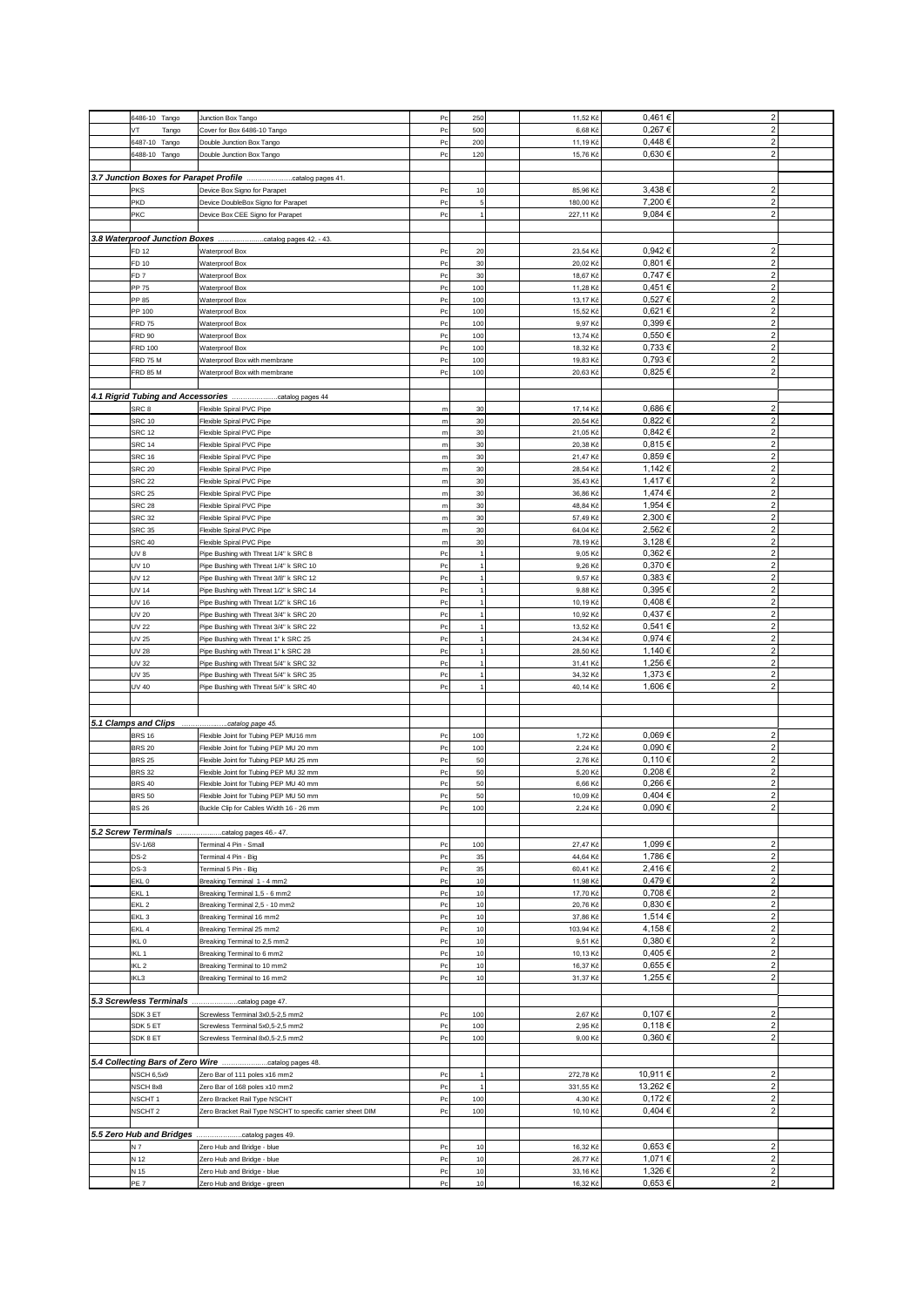| 6486-10 Tango                         | Junction Box Tango                                                               | Pc             | 250       | 11,52 Kč           | 0,461€           | $\overline{2}$          |  |
|---------------------------------------|----------------------------------------------------------------------------------|----------------|-----------|--------------------|------------------|-------------------------|--|
| VT<br>Tango                           | Cover for Box 6486-10 Tango                                                      | P <sub>C</sub> | 500       | 6,68 Kč            | 0,267€           | $\overline{2}$          |  |
| 6487-10 Tango                         | Double Junction Box Tango                                                        | Pc             | 200       | 11,19 Kč           | $0.448 \in$      | $\overline{2}$          |  |
| 6488-10 Tango                         | Double Junction Box Tango                                                        | Pc             | 120       | 15,76 Kč           | 0,630€           | $\overline{2}$          |  |
|                                       |                                                                                  |                |           |                    |                  |                         |  |
|                                       | 3.7 Junction Boxes for Parapet Profile catalog pages 41.                         |                |           |                    |                  |                         |  |
| PKS                                   | Device Box Signo for Parapet                                                     | P <sub>C</sub> | 10        | 85,96 Kč           | 3,438 €          | $\overline{2}$          |  |
| PKD                                   | Device DoubleBox Signo for Parapet                                               | Pc             | 5         | 180,00 Kč          | 7,200 €          | $\overline{2}$          |  |
| PKC                                   | Device Box CEE Signo for Parapet                                                 | Pc             | 1         | 227,11 Kč          | 9,084 €          | $\overline{2}$          |  |
|                                       |                                                                                  |                |           |                    |                  |                         |  |
|                                       | 3.8 Waterproof Junction Boxes catalog pages 42. - 43.                            |                |           |                    |                  |                         |  |
| FD 12                                 | Waterproof Box                                                                   | P <sub>C</sub> | 20        | 23,54 Kč           | $0,942 \in$      | $\overline{2}$          |  |
| FD 10                                 | Waterproof Box                                                                   | Pc             | 30        | 20,02 Kč           | 0,801€           | $\overline{2}$          |  |
| FD <sub>7</sub>                       | Waterproof Box                                                                   | P <sub>C</sub> | 30        | 18,67 Kč           | 0,747€           | $\overline{2}$          |  |
| PP 75                                 | Waterproof Box                                                                   | Pc             | 100       | 11,28 Kč           | 0,451€           | $\overline{2}$          |  |
| PP 85                                 | Waterproof Box                                                                   | Pc             | 100       | 13,17 Kč           | 0,527€           | $\overline{2}$          |  |
| PP 100                                | Waterproof Box                                                                   | Pc             | 100       | 15,52 Kč           | 0,621€           | $\overline{2}$          |  |
| <b>FRD 75</b>                         | Waterproof Box                                                                   | Pc             | 100       | 9,97 Kč            | $0,399 \in$      | $\overline{2}$          |  |
| FRD 90                                | Waterproof Box                                                                   | P <sub>C</sub> | 100       | 13,74 Kč           | 0,550€           | $\overline{2}$          |  |
| FRD 100                               | Waterproof Box                                                                   | Pc             | 100       | 18,32 Kč           | 0,733€           | $\overline{2}$          |  |
| <b>FRD 75 M</b>                       | Waterproof Box with membrane                                                     | Pc             | 100       | 19,83 Kč           | 0,793€           | $\overline{2}$          |  |
| <b>FRD 85 M</b>                       | Waterproof Box with membrane                                                     | Pc             | 100       | 20,63 Kč           | 0,825€           | $\overline{2}$          |  |
|                                       |                                                                                  |                |           |                    |                  |                         |  |
|                                       |                                                                                  |                |           |                    |                  |                         |  |
| SRC 8                                 | Flexible Spiral PVC Pipe                                                         | ${\sf m}$      | 30        | 17,14 Kč           | 0,686€           | $\overline{2}$          |  |
| <b>SRC 10</b>                         | Flexible Spiral PVC Pipe                                                         | m              | 30        | 20,54 Kč           | 0,822€           | $\overline{2}$          |  |
| <b>SRC 12</b>                         | Flexible Spiral PVC Pipe                                                         | $\mathsf{m}$   | 30        | 21,05 Kč           | $0.842 \in$      | $\overline{2}$          |  |
| <b>SRC 14</b>                         | Flexible Spiral PVC Pipe                                                         | m              | 30        | 20,38 Kč           | 0,815€           | $\overline{2}$          |  |
| <b>SRC 16</b>                         | Flexible Spiral PVC Pipe                                                         | m              | 30        | 21,47 Kč           | 0,859€           | $\overline{2}$          |  |
| <b>SRC 20</b>                         | Flexible Spiral PVC Pipe                                                         | m              | 30        | 28,54 Kč           | 1,142 €          | $\overline{2}$          |  |
| <b>SRC 22</b>                         | Flexible Spiral PVC Pipe                                                         | m              | 30        | 35,43 Kč           | 1,417€           | $\overline{2}$          |  |
| <b>SRC 25</b>                         | Flexible Spiral PVC Pipe                                                         | $\mathsf{m}$   | 30        | 36,86 Kč           | 1,474 €          | $\overline{2}$          |  |
| <b>SRC 28</b>                         | Flexible Spiral PVC Pipe                                                         | m              | 30        | 48,84 Kč           | 1,954 €          | $\overline{2}$          |  |
| <b>SRC 32</b>                         | Flexible Spiral PVC Pipe                                                         | m              | 30        | 57,49 Kč           | 2,300 €          | $\overline{2}$          |  |
| <b>SRC 35</b>                         | Flexible Spiral PVC Pipe                                                         | m              | 30        | 64,04 Kč           | 2,562€           | $\overline{2}$          |  |
| <b>SRC 40</b>                         | Flexible Spiral PVC Pipe                                                         | m              | 30        | 78,19 Kč           | 3,128€           | $\overline{2}$          |  |
| B VU                                  | Pipe Bushing with Threat 1/4" k SRC 8                                            | Pc             |           | 9,05 Kč            | $0,362 \in$      | $\overline{2}$          |  |
| UV 10                                 | Pipe Bushing with Threat 1/4" k SRC 10                                           | Pc             |           | 9,26 Kč            | 0,370€           | $\overline{2}$          |  |
| UV 12                                 | Pipe Bushing with Threat 3/8" k SRC 12                                           | P <sub>C</sub> |           | 9,57 Kč            | 0,383€           | $\overline{2}$          |  |
| UV 14                                 | Pipe Bushing with Threat 1/2" k SRC 14                                           | Pc             |           | 9,88 Kč            | 0,395€           | $\overline{2}$          |  |
| UV 16                                 | Pipe Bushing with Threat 1/2" k SRC 16                                           | Pc             |           | 10,19 Kč           | 0,408€           | $\overline{2}$          |  |
| UV 20                                 | Pipe Bushing with Threat 3/4" k SRC 20                                           | Pc             |           | 10,92 Kč           | 0,437€           | $\overline{2}$          |  |
| UV 22                                 | Pipe Bushing with Threat 3/4" k SRC 22                                           | Pc             |           | 13,52 Kč           | 0,541€           | $\overline{2}$          |  |
| UV 25                                 | Pipe Bushing with Threat 1" k SRC 25                                             | P <sub>C</sub> |           | 24,34 Kč           | 0,974€           | $\overline{2}$          |  |
| UV 28                                 | Pipe Bushing with Threat 1" k SRC 28                                             | P <sub>C</sub> |           | 28,50 Kč           | 1,140 €          | $\overline{2}$          |  |
| UV 32                                 | Pipe Bushing with Threat 5/4" k SRC 32                                           | Pc             |           | 31,41 Kč           | 1,256€           | $\overline{2}$          |  |
| UV 35                                 | Pipe Bushing with Threat 5/4" k SRC 35                                           | Pc             |           | 34,32 Kč           | 1,373 €          | $\overline{2}$          |  |
| UV 40                                 | Pipe Bushing with Threat 5/4" k SRC 40                                           | Pc             |           | 40,14 Kč           | 1,606€           | $\overline{2}$          |  |
|                                       |                                                                                  |                |           |                    |                  |                         |  |
|                                       |                                                                                  |                |           |                    |                  |                         |  |
| 5.1 Clamps and Clips<br><b>BRS 16</b> | .catalog page 45.                                                                |                |           |                    | 0,069€           | 2 <sup>1</sup>          |  |
|                                       | Flexible Joint for Tubing PEP MU16 mm                                            | Pc             | 100       | 1,72 Kč            | 0,090€           | $\overline{2}$          |  |
| <b>BRS 20</b><br><b>BRS 25</b>        | Flexible Joint for Tubing PEP MU 20 mm<br>Flexible Joint for Tubing PEP MU 25 mm | Pc<br>Po       | 100<br>50 | 2,24 Kč<br>2,76 Kč | 0,110€           | $\overline{2}$          |  |
| <b>BRS 32</b>                         |                                                                                  | Pc             | 50        | 5,20 Kč            | 0,208€           | $\overline{2}$          |  |
|                                       | Flexible Joint for Tubing PEP MU 32 mm                                           |                |           |                    | 0,266€           | $\overline{2}$          |  |
| <b>BRS 40</b>                         | Flexible Joint for Tubing PEP MU 40 mm                                           | Pc             | 50        | 6,66 Kč            |                  |                         |  |
| <b>BRS 50</b>                         | Flexible Joint for Tubing PEP MU 50 mm                                           | Pc             | 50        | 10,09 Kč           | 0,404 €          | $\overline{2}$          |  |
| <b>BS 26</b>                          | Buckle Clip for Cables Width 16 - 26 mm                                          | P <sub>C</sub> | 100       |                    |                  |                         |  |
|                                       |                                                                                  |                |           | 2,24 Kč            | 0,090€           | $\overline{2}$          |  |
|                                       |                                                                                  |                |           |                    |                  |                         |  |
|                                       | 5.2 Screw Terminals catalog pages 46.-47.                                        |                |           |                    |                  |                         |  |
| SV-1/68                               | Terminal 4 Pin - Small                                                           | P <sub>C</sub> | 100       | 27,47 Kč           | 1,099€           | $\overline{2}$          |  |
| $DS-2$                                | Terminal 4 Pin - Big                                                             | Pc             | 35        | 44,64 Kč           | 1,786€           | $\overline{2}$          |  |
| $DS-3$                                | Terminal 5 Pin - Big                                                             | P <sub>C</sub> | 35        | 60,41 Kč           | 2,416€           | $\overline{2}$          |  |
| EKL <sub>0</sub>                      | Breaking Terminal 1 - 4 mm2                                                      | P <sub>C</sub> | 10        | 11,98 Kč           | 0,479€           | $\overline{\mathbf{c}}$ |  |
| EKL <sub>1</sub>                      | Breaking Terminal 1,5 - 6 mm2                                                    | P <sub>C</sub> | 10        | 17,70 Kč           | 0,708€           | $\overline{2}$          |  |
| EKL <sub>2</sub>                      | Breaking Terminal 2,5 - 10 mm2                                                   | Pc             | 10        | 20,76 Kč           | 0,830€           | $\overline{2}$          |  |
| EKL <sub>3</sub>                      | Breaking Terminal 16 mm2                                                         | Pc             | 10        | 37,86 Kč           | 1,514 €          | 2 <sup>1</sup>          |  |
| EKL <sub>4</sub>                      | Breaking Terminal 25 mm2                                                         | P <sub>C</sub> | 10        | 103,94 Kč          | 4,158€           | $\overline{2}$          |  |
| IKL <sub>0</sub>                      | Breaking Terminal to 2,5 mm2                                                     | Pc             | 10        | 9,51 Kč            | 0,380€<br>0,405€ | $\overline{2}$          |  |
| IKL 1                                 | Breaking Terminal to 6 mm2                                                       | P <sub>C</sub> | 10        | 10,13 Kč           |                  | $\overline{2}$          |  |
| IKL <sub>2</sub>                      | Breaking Terminal to 10 mm2                                                      | Pc             | 10        | 16,37 Kč           | 0,655€           | $\overline{2}$          |  |
| IKL3                                  | Breaking Terminal to 16 mm2                                                      | Pc             | 10        | 31,37 Kč           | 1,255€           | $\overline{2}$          |  |
|                                       |                                                                                  |                |           |                    |                  |                         |  |
| 5.3 Screwless Terminals               | catalog page 47.                                                                 |                |           |                    |                  |                         |  |
| SDK 3 ET                              | Screwless Terminal 3x0,5-2,5 mm2                                                 | P <sub>C</sub> | 100       | 2,67 Kč            | 0,107€           | 2 <sup>1</sup>          |  |
| SDK 5 ET                              | Screwless Terminal 5x0,5-2,5 mm2                                                 | Pc             | 100       | 2,95 Kč            | 0,118€           | $\overline{2}$          |  |
| SDK 8 ET                              | Screwless Terminal 8x0,5-2,5 mm2                                                 | Pc             | 100       | 9,00 Kč            | 0,360€           | 2 <sup>1</sup>          |  |
|                                       |                                                                                  |                |           |                    |                  |                         |  |
|                                       |                                                                                  |                |           |                    |                  |                         |  |
| NSCH 6,5x9                            | Zero Bar of 111 poles x16 mm2                                                    | P <sub>C</sub> |           | 272,78 Kč          | 10,911€          | $\overline{2}$          |  |
| NSCH 8x8                              | Zero Bar of 168 poles x10 mm2                                                    | Pc             |           | 331,55 Kč          | 13,262 €         | $\overline{2}$          |  |
| NSCHT 1                               | Zero Bracket Rail Type NSCHT                                                     | P <sub>C</sub> | 100       | 4,30 Kč            | 0,172€           | 2 <sub>1</sub>          |  |
| NSCHT <sub>2</sub>                    | Zero Bracket Rail Type NSCHT to specific carrier sheet DIM                       | P <sub>C</sub> | 100       | 10,10 Kč           | 0,404€           | $\overline{2}$          |  |
|                                       |                                                                                  |                |           |                    |                  |                         |  |
|                                       |                                                                                  |                |           |                    |                  |                         |  |
| N 7                                   | Zero Hub and Bridge - blue                                                       | P <sub>C</sub> | 10        | 16,32 Kč           | 0,653€           | $\overline{2}$          |  |
| N 12                                  | Zero Hub and Bridge - blue                                                       | Pc             | 10        | 26,77 Kč           | 1,071 €          | 2 <sup>1</sup>          |  |
| N 15                                  | Zero Hub and Bridge - blue                                                       | Pc             | 10        | 33,16 Kč           | 1,326€           | $\overline{2}$          |  |